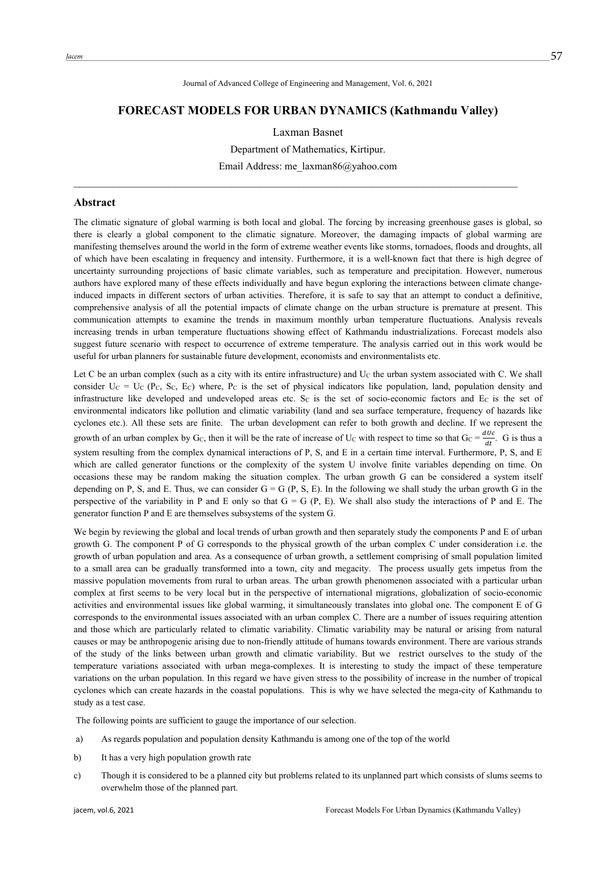#### Journal of Advanced College of Engineering and Management, Vol. 6, 2021

# **FORECAST MODELS FOR URBAN DYNAMICS (Kathmandu Valley)**

Laxman Basnet

Department of Mathematics, Kirtipur.

 $\mathcal{L}_\mathcal{L} = \{ \mathcal{L}_\mathcal{L} = \{ \mathcal{L}_\mathcal{L} = \{ \mathcal{L}_\mathcal{L} = \{ \mathcal{L}_\mathcal{L} = \{ \mathcal{L}_\mathcal{L} = \{ \mathcal{L}_\mathcal{L} = \{ \mathcal{L}_\mathcal{L} = \{ \mathcal{L}_\mathcal{L} = \{ \mathcal{L}_\mathcal{L} = \{ \mathcal{L}_\mathcal{L} = \{ \mathcal{L}_\mathcal{L} = \{ \mathcal{L}_\mathcal{L} = \{ \mathcal{L}_\mathcal{L} = \{ \mathcal{L}_\mathcal{$ 

Email Address: me\_laxman86@yahoo.com

#### **Abstract**

The climatic signature of global warming is both local and global. The forcing by increasing greenhouse gases is global, so there is clearly a global component to the climatic signature. Moreover, the damaging impacts of global warming are manifesting themselves around the world in the form of extreme weather events like storms, tornadoes, floods and droughts, all of which have been escalating in frequency and intensity. Furthermore, it is a well-known fact that there is high degree of uncertainty surrounding projections of basic climate variables, such as temperature and precipitation. However, numerous authors have explored many of these effects individually and have begun exploring the interactions between climate changeinduced impacts in different sectors of urban activities. Therefore, it is safe to say that an attempt to conduct a definitive, comprehensive analysis of all the potential impacts of climate change on the urban structure is premature at present. This communication attempts to examine the trends in maximum monthly urban temperature fluctuations. Analysis reveals increasing trends in urban temperature fluctuations showing effect of Kathmandu industrializations. Forecast models also suggest future scenario with respect to occurrence of extreme temperature. The analysis carried out in this work would be useful for urban planners for sustainable future development, economists and environmentalists etc.

Let C be an urban complex (such as a city with its entire infrastructure) and  $U<sub>C</sub>$  the urban system associated with C. We shall consider  $U_C = U_C$  (Pc, Sc, Ec) where, Pc is the set of physical indicators like population, land, population density and infrastructure like developed and undeveloped areas etc. S<sub>C</sub> is the set of socio-economic factors and  $E<sub>C</sub>$  is the set of environmental indicators like pollution and climatic variability (land and sea surface temperature, frequency of hazards like cyclones etc.). All these sets are finite. The urban development can refer to both growth and decline. If we represent the growth of an urban complex by G<sub>C</sub>, then it will be the rate of increase of U<sub>C</sub> with respect to time so that  $G_C = \frac{dU_C}{dt}$ . G is thus a system resulting from the complex dynamical interactions of P, S, and E in a certain time interval. Furthermore, P, S, and E which are called generator functions or the complexity of the system U involve finite variables depending on time. On occasions these may be random making the situation complex. The urban growth G can be considered a system itself depending on P, S, and E. Thus, we can consider  $G = G(P, S, E)$ . In the following we shall study the urban growth G in the perspective of the variability in P and E only so that  $G = G(P, E)$ . We shall also study the interactions of P and E. The generator function P and E are themselves subsystems of the system G.

We begin by reviewing the global and local trends of urban growth and then separately study the components P and E of urban growth G. The component P of G corresponds to the physical growth of the urban complex C under consideration i.e. the growth of urban population and area. As a consequence of urban growth, a settlement comprising of small population limited to a small area can be gradually transformed into a town, city and megacity. The process usually gets impetus from the massive population movements from rural to urban areas. The urban growth phenomenon associated with a particular urban complex at first seems to be very local but in the perspective of international migrations, globalization of socio-economic activities and environmental issues like global warming, it simultaneously translates into global one. The component E of G corresponds to the environmental issues associated with an urban complex C. There are a number of issues requiring attention and those which are particularly related to climatic variability. Climatic variability may be natural or arising from natural causes or may be anthropogenic arising due to non-friendly attitude of humans towards environment. There are various strands of the study of the links between urban growth and climatic variability. But we restrict ourselves to the study of the temperature variations associated with urban mega-complexes. It is interesting to study the impact of these temperature variations on the urban population. In this regard we have given stress to the possibility of increase in the number of tropical cyclones which can create hazards in the coastal populations. This is why we have selected the mega-city of Kathmandu to study as a test case.

The following points are sufficient to gauge the importance of our selection.

- a) As regards population and population density Kathmandu is among one of the top of the world
- b) It has a very high population growth rate
- c) Though it is considered to be a planned city but problems related to its unplanned part which consists of slums seems to overwhelm those of the planned part.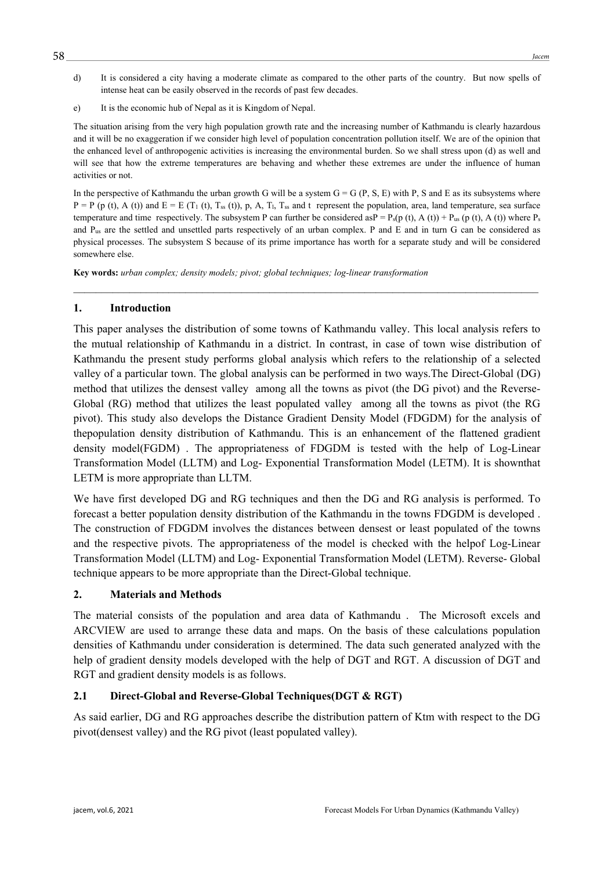- d) It is considered a city having a moderate climate as compared to the other parts of the country. But now spells of intense heat can be easily observed in the records of past few decades.
- e) It is the economic hub of Nepal as it is Kingdom of Nepal.

The situation arising from the very high population growth rate and the increasing number of Kathmandu is clearly hazardous and it will be no exaggeration if we consider high level of population concentration pollution itself. We are of the opinion that the enhanced level of anthropogenic activities is increasing the environmental burden. So we shall stress upon (d) as well and will see that how the extreme temperatures are behaving and whether these extremes are under the influence of human activities or not.

In the perspective of Kathmandu the urban growth G will be a system  $G = G(P, S, E)$  with P, S and E as its subsystems where  $P = P$  (p (t), A (t)) and  $E = E(T_1(t), T_{ss}(t))$ , p, A, T<sub>l</sub>, T<sub>ss</sub> and t represent the population, area, land temperature, sea surface temperature and time respectively. The subsystem P can further be considered asP = P<sub>s</sub>(p (t), A (t)) + P<sub>us</sub> (p (t), A (t)) where P<sub>s</sub> and Pus are the settled and unsettled parts respectively of an urban complex. P and E and in turn G can be considered as physical processes. The subsystem S because of its prime importance has worth for a separate study and will be considered somewhere else.

 $\mathcal{L}_\text{max} = \frac{1}{2} \sum_{i=1}^n \mathcal{L}_\text{max} = \frac{1}{2} \sum_{i=1}^n \mathcal{L}_\text{max} = \frac{1}{2} \sum_{i=1}^n \mathcal{L}_\text{max} = \frac{1}{2} \sum_{i=1}^n \mathcal{L}_\text{max} = \frac{1}{2} \sum_{i=1}^n \mathcal{L}_\text{max} = \frac{1}{2} \sum_{i=1}^n \mathcal{L}_\text{max} = \frac{1}{2} \sum_{i=1}^n \mathcal{L}_\text{max} = \frac{1}{2} \sum_{i=$ 

**Key words:** *urban complex; density models; pivot; global techniques; log-linear transformation*

### **1. Introduction**

This paper analyses the distribution of some towns of Kathmandu valley. This local analysis refers to the mutual relationship of Kathmandu in a district. In contrast, in case of town wise distribution of Kathmandu the present study performs global analysis which refers to the relationship of a selected valley of a particular town. The global analysis can be performed in two ways.The Direct-Global (DG) method that utilizes the densest valley among all the towns as pivot (the DG pivot) and the Reverse-Global (RG) method that utilizes the least populated valley among all the towns as pivot (the RG pivot). This study also develops the Distance Gradient Density Model (FDGDM) for the analysis of thepopulation density distribution of Kathmandu. This is an enhancement of the flattened gradient density model(FGDM) . The appropriateness of FDGDM is tested with the help of Log-Linear Transformation Model (LLTM) and Log- Exponential Transformation Model (LETM). It is shownthat LETM is more appropriate than LLTM.

We have first developed DG and RG techniques and then the DG and RG analysis is performed. To forecast a better population density distribution of the Kathmandu in the towns FDGDM is developed . The construction of FDGDM involves the distances between densest or least populated of the towns and the respective pivots. The appropriateness of the model is checked with the helpof Log-Linear Transformation Model (LLTM) and Log- Exponential Transformation Model (LETM). Reverse- Global technique appears to be more appropriate than the Direct-Global technique.

# **2. Materials and Methods**

The material consists of the population and area data of Kathmandu . The Microsoft excels and ARCVIEW are used to arrange these data and maps. On the basis of these calculations population densities of Kathmandu under consideration is determined. The data such generated analyzed with the help of gradient density models developed with the help of DGT and RGT. A discussion of DGT and RGT and gradient density models is as follows.

# **2.1 Direct-Global and Reverse-Global Techniques(DGT & RGT)**

As said earlier, DG and RG approaches describe the distribution pattern of Ktm with respect to the DG pivot(densest valley) and the RG pivot (least populated valley).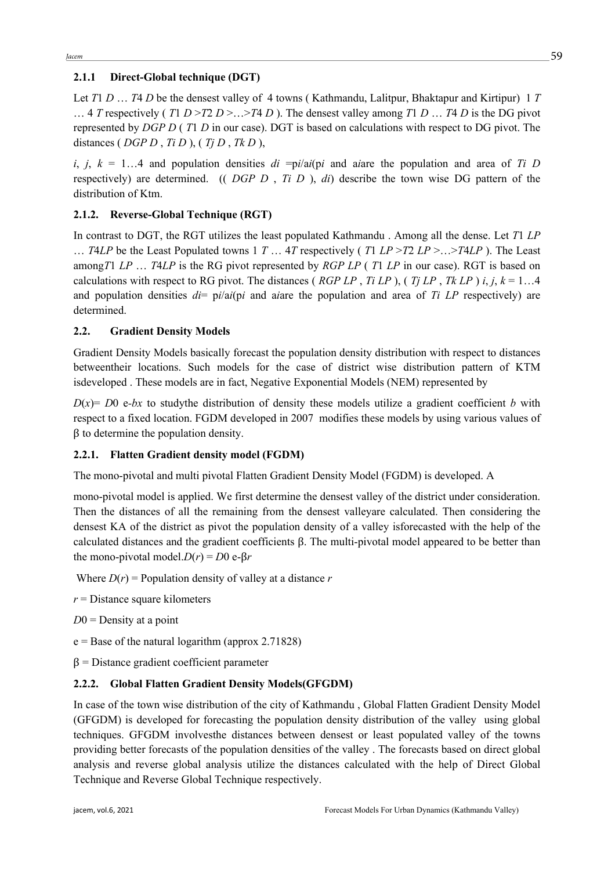### Jacem  $59$

#### **2.1.1 Direct-Global technique (DGT)**

Let *T*1 *D*  $\ldots$  *T*4 *D* be the densest valley of 4 towns (Kathmandu, Lalitpur, Bhaktapur and Kirtipur) 1 *T*  $\ldots$  4 *T* respectively (*T*1 *D* >*T*2 *D* > $\ldots$  >*T*4 *D*). The densest valley among *T*1 *D*  $\ldots$  *T*4 *D* is the DG pivot represented by *DGP D* ( *T*1 *D* in our case). DGT is based on calculations with respect to DG pivot. The distances ( *DGP D* , *Ti D* ), ( *Tj D* , *Tk D* ),

*i*, *j*,  $k = 1...4$  and population densities *di* =p*i*/a*i*(p*i* and a*i*are the population and area of *Ti D* respectively) are determined. (( *DGP D* , *Ti D* ), *di*) describe the town wise DG pattern of the distribution of Ktm.

# **2.1.2. Reverse-Global Technique (RGT)**

In contrast to DGT, the RGT utilizes the least populated Kathmandu . Among all the dense. Let *T*1 *LP* ... *T4LP* be the Least Populated towns 1 *T* ... *4T* respectively (*T1 LP* > *T2 LP* >... > *T4LP* ). The Least among*T*1 *LP* ... *T4LP* is the RG pivot represented by *RGP LP* (*T*1 *LP* in our case). RGT is based on calculations with respect to RG pivot. The distances (*RGP LP*, *Ti LP*), (*Tj LP*, *Tk LP*) *i*, *j*,  $k = 1...4$ and population densities *di*= p*i*/a*i*(p*i* and a*i*are the population and area of *Ti LP* respectively) are determined.

### **2.2. Gradient Density Models**

Gradient Density Models basically forecast the population density distribution with respect to distances betweentheir locations. Such models for the case of district wise distribution pattern of KTM isdeveloped . These models are in fact, Negative Exponential Models (NEM) represented by

 $D(x) = D0$  e-bx to study the distribution of density these models utilize a gradient coefficient *b* with respect to a fixed location. FGDM developed in 2007 modifies these models by using various values of  $\beta$  to determine the population density.

# **2.2.1. Flatten Gradient density model (FGDM)**

The mono-pivotal and multi pivotal Flatten Gradient Density Model (FGDM) is developed. A

mono-pivotal model is applied. We first determine the densest valley of the district under consideration. Then the distances of all the remaining from the densest valleyare calculated. Then considering the densest KA of the district as pivot the population density of a valley isforecasted with the help of the calculated distances and the gradient coefficients  $\beta$ . The multi-pivotal model appeared to be better than the mono-pivotal model. $D(r) = D0 e$ - $\beta r$ 

Where  $D(r)$  = Population density of valley at a distance *r* 

- *r* = Distance square kilometers
- *D*0 = Density at a point

 $e =$ Base of the natural logarithm (approx 2.71828)

 $\beta$  = Distance gradient coefficient parameter

# **2.2.2. Global Flatten Gradient Density Models(GFGDM)**

In case of the town wise distribution of the city of Kathmandu , Global Flatten Gradient Density Model (GFGDM) is developed for forecasting the population density distribution of the valley using global techniques. GFGDM involvesthe distances between densest or least populated valley of the towns providing better forecasts of the population densities of the valley . The forecasts based on direct global analysis and reverse global analysis utilize the distances calculated with the help of Direct Global Technique and Reverse Global Technique respectively.